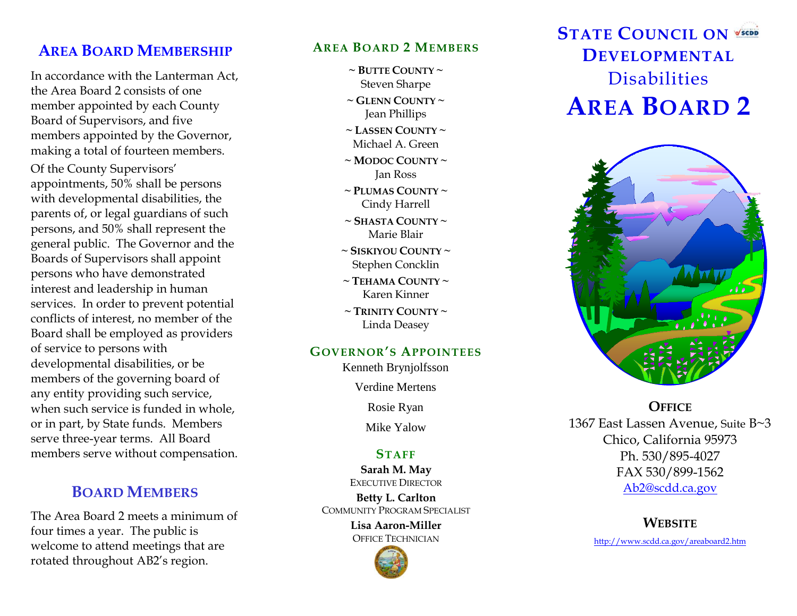# **AREA BOARD MEMBERSHIP**

In accordance with the Lanterman Act, the Area Board 2 consists of one member appointed by each County Board of Supervisors, and five members appointed by the Governor, making a total of fourteen members.

Of the County Supervisors' appointments, 50% shall be persons with developmental disabilities, the parents of, or legal guardians of such persons, and 50% shall represent the general public. The Governor and the Boards of Supervisors shall appoint persons who have demonstrated interest and leadership in human services. In order to prevent potential conflicts of interest, no member of the Board shall be employed as providers of service to persons with developmental disabilities, or be members of the governing board of any entity providing such service, when such service is funded in whole, or in part, by State funds. Members serve three -year terms. All Board members serve without compensation.

## **BOARD MEMBERS**

The Area Board 2 meets a minimum of four times a year. The public is welcome to attend meetings that are rotated throughout AB2's region .

#### **AREA BOARD 2 MEMBERS**

- **~ BUTTE COUNTY ~** Steven Sharpe
- **~ GLENN COUNTY ~** Jean Phillips
- **~ LASSEN COUNTY ~** Michael A. Green
- **~ MODOC COUNTY ~** Jan Ross
- **~ PLUMAS COUNTY ~** Cindy Harrell
- **~ SHASTA COUNTY ~** Marie Blair
- **~ SISKIYOU COUNTY ~** Stephen Concklin
- $\sim$  Tehama County  $\sim$ Karen Kinner
- **~ TRINITY COUNTY ~** Linda Deasey

#### **GOVERNOR 'S APPOINTEES**

Kenneth Brynjolfsson

Verdine Mertens

Rosie Ryan

Mike Yalow

#### **STAFF**

**Sarah M. May** EXECUTIVE DIRECTOR

**Betty L. Carlton** COMMUNITY PROGRAM SPECIALIST

> **Lisa Aaron -Miller** OFFICE TECHNICIAN



# **STATE COUNCIL ON DEVELOPMENTAL Disabilities AREA BOARD 2**



**OFFICE** 1367 East Lassen Avenue, Suite B~3 Chico, California 95973 Ph. 530/895 -4027 FAX 530/899 -1562 [Ab2@scdd.ca.gov](mailto:Ab2@scdd.ca.gov)

### **WEBSITE**

http://www.scdd.ca.gov/areaboard2.htm